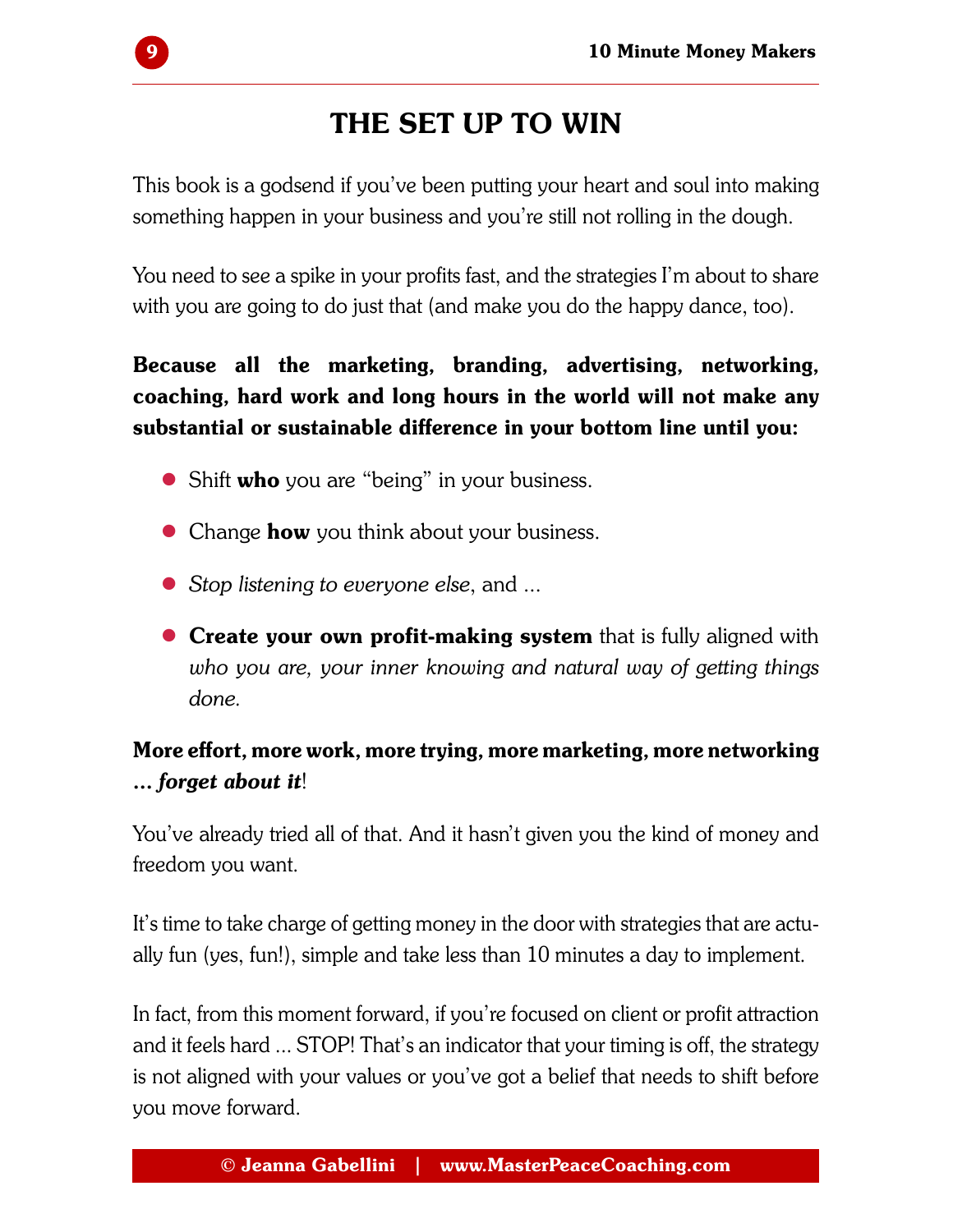## The Set Up to Win

This book is a godsend if you've been putting your heart and soul into making something happen in your business and you're still not rolling in the dough.

You need to see a spike in your profits fast, and the strategies I'm about to share with you are going to do just that (and make you do the happy dance, too).

Because all the marketing, branding, advertising, networking, coaching, hard work and long hours in the world will not make any substantial or sustainable difference in your bottom line until you:

- $\bullet$  Shift who you are "being" in your business.
- $\bullet$  Change **how** you think about your business.
- *Stop listening to everyone else*, and ...
- $\bullet$  Create your own profit-making system that is fully aligned with *who you are, your inner knowing and natural way of getting things done.*

## More effort, more work, more trying, more marketing, more networking ... *forget about it*!

You've already tried all of that. And it hasn't given you the kind of money and freedom you want.

It's time to take charge of getting money in the door with strategies that are actually fun (yes, fun!), simple and take less than 10 minutes a day to implement.

In fact, from this moment forward, if you're focused on client or profit attraction and it feels hard ... STOP! That's an indicator that your timing is off, the strategy is not aligned with your values or you've got a belief that needs to shift before you move forward.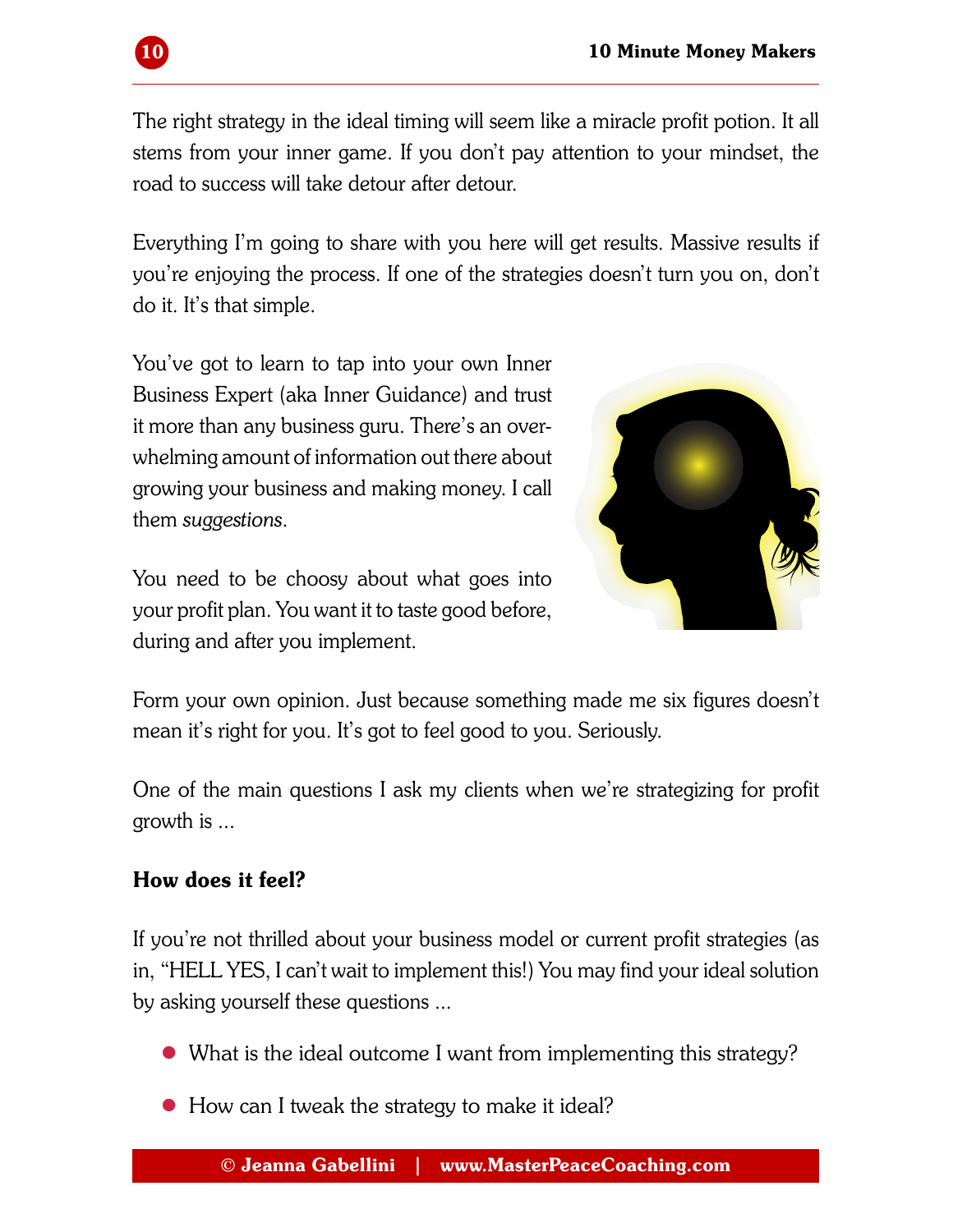

The right strategy in the ideal timing will seem like a miracle profit potion. It all stems from your inner game. If you don't pay attention to your mindset, the road to success will take detour after detour.

Everything I'm going to share with you here will get results. Massive results if you're enjoying the process. If one of the strategies doesn't turn you on, don't do it. It's that simple.

You've got to learn to tap into your own Inner Business Expert (aka Inner Guidance) and trust it more than any business guru. There's an overwhelming amount of information out there about growing your business and making money. I call them *suggestions*.

You need to be choosy about what goes into your profit plan. You want it to taste good before, during and after you implement.



Form your own opinion. Just because something made me six figures doesn't mean it's right for you. It's got to feel good to you. Seriously.

One of the main questions I ask my clients when we're strategizing for profit growth is ...

## How does it feel?

If you're not thrilled about your business model or current profit strategies (as in, "HELL YES, I can't wait to implement this!) You may find your ideal solution by asking yourself these questions ...

- What is the ideal outcome I want from implementing this strategy?
- $\bullet$  How can I tweak the strategy to make it ideal?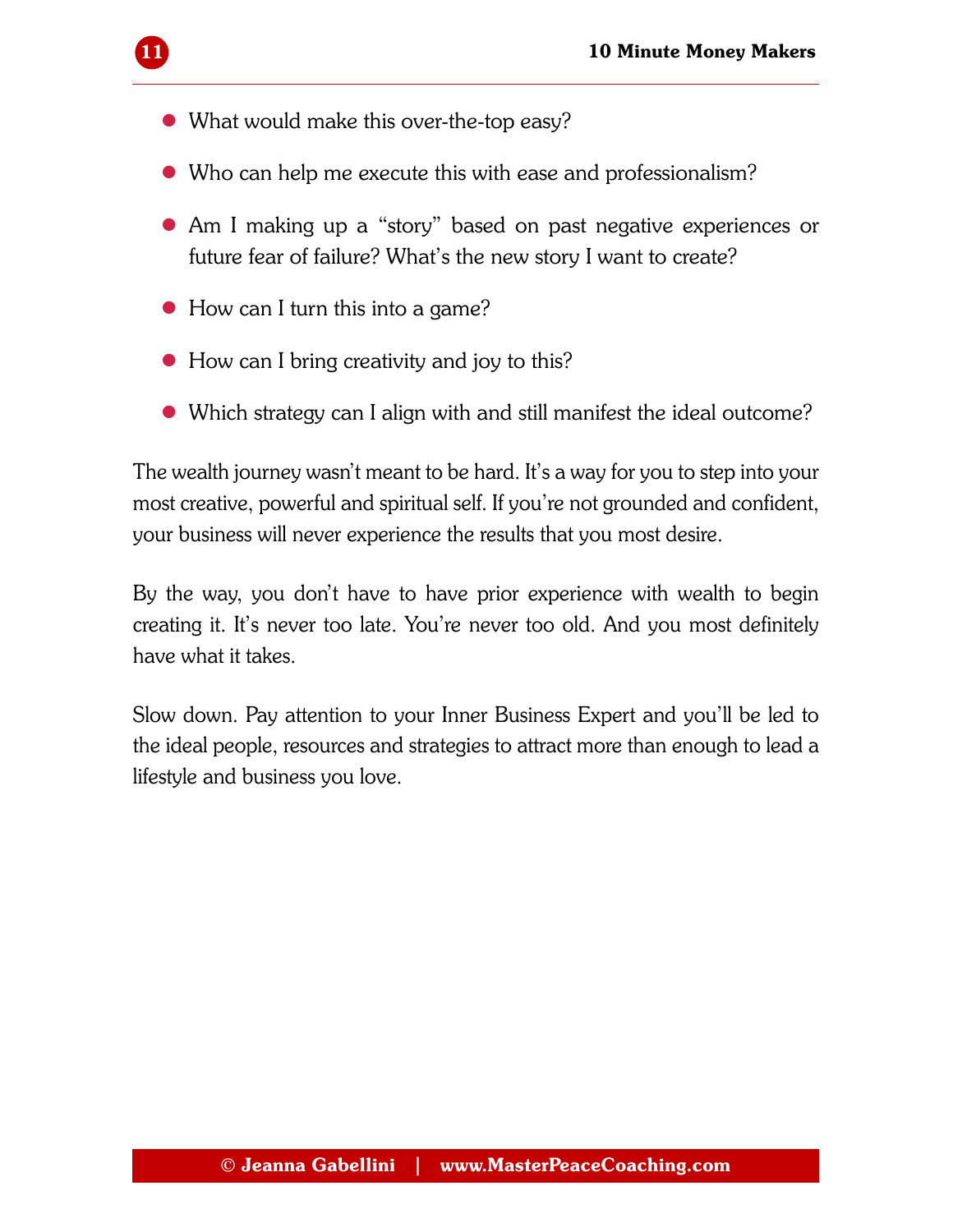- $\bullet$  What would make this over-the-top easy?
- Who can help me execute this with ease and professionalism?
- Am I making up a "story" based on past negative experiences or future fear of failure? What's the new story I want to create?
- $\bullet$  How can I turn this into a game?
- $\bullet$  How can I bring creativity and joy to this?
- Which strategy can I align with and still manifest the ideal outcome?

The wealth journey wasn't meant to be hard. It's a way for you to step into your most creative, powerful and spiritual self. If you're not grounded and confident, your business will never experience the results that you most desire.

By the way, you don't have to have prior experience with wealth to begin creating it. It's never too late. You're never too old. And you most definitely have what it takes.

Slow down. Pay attention to your Inner Business Expert and you'll be led to the ideal people, resources and strategies to attract more than enough to lead a lifestyle and business you love.